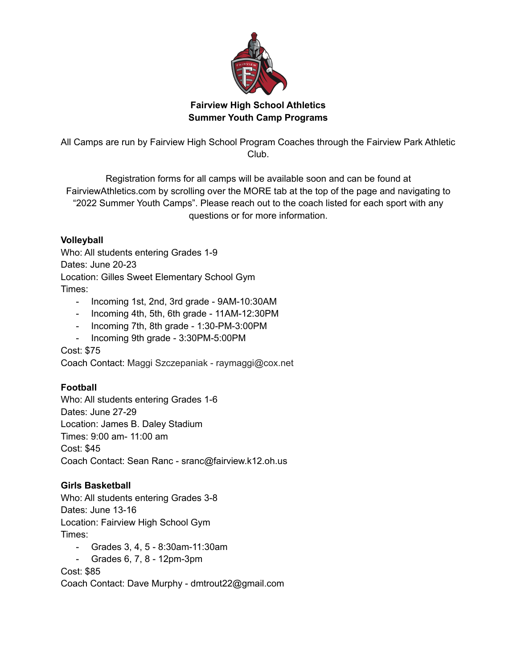

## **Fairview High School Athletics Summer Youth Camp Programs**

All Camps are run by Fairview High School Program Coaches through the Fairview Park Athletic Club.

Registration forms for all camps will be available soon and can be found at FairviewAthletics.com by scrolling over the MORE tab at the top of the page and navigating to "2022 Summer Youth Camps". Please reach out to the coach listed for each sport with any questions or for more information.

## **Volleyball**

Who: All students entering Grades 1-9 Dates: June 20-23 Location: Gilles Sweet Elementary School Gym Times:

- Incoming 1st, 2nd, 3rd grade 9AM-10:30AM
- Incoming 4th, 5th, 6th grade 11AM-12:30PM
- Incoming 7th, 8th grade 1:30-PM-3:00PM
- Incoming 9th grade 3:30PM-5:00PM

Cost: \$75

Coach Contact: Maggi Szczepaniak - raymaggi@cox.net

# **Football**

Who: All students entering Grades 1-6 Dates: June 27-29 Location: James B. Daley Stadium Times: 9:00 am- 11:00 am Cost: \$45 Coach Contact: Sean Ranc - sranc@fairview.k12.oh.us

# **Girls Basketball**

Who: All students entering Grades 3-8 Dates: June 13-16 Location: Fairview High School Gym Times:

- Grades 3, 4, 5 8:30am-11:30am
- Grades 6, 7, 8 12pm-3pm

Cost: \$85

Coach Contact: Dave Murphy - dmtrout22@gmail.com